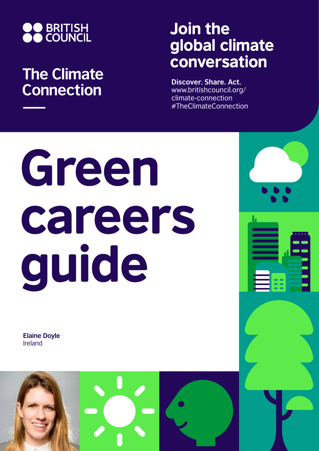

# **The Climate Connection**

# Join the global climate conversation

**Discover. Share. Act.** www.britishcouncil.org/ climate-connection #TheClimateConnection

# Green careers guide

**Elaine Doyle** Ireland

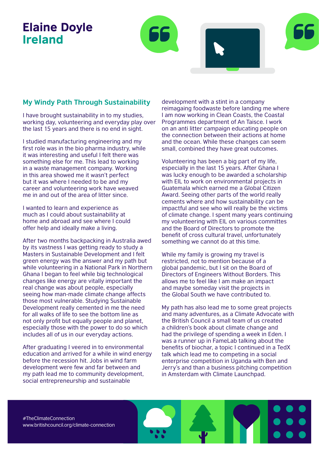## Elaine Doyle Ireland



I have brought sustainability in to my studies, working day, volunteering and everyday play over the last 15 years and there is no end in sight.

I studied manufacturing engineering and my first role was in the bio pharma industry, while it was interesting and useful I felt there was something else for me. This lead to working in a waste management company. Working in this area showed me it wasn't perfect but it was where I needed to be and my career and volunteering work have weaved me in and out of the area of litter since.

I wanted to learn and experience as much as I could about sustainability at home and abroad and see where I could offer help and ideally make a living.

After two months backpacking in Australia awed by its vastness I was getting ready to study a Masters in Sustainable Development and I felt green energy was the answer and my path but while volunteering in a National Park in Northern Ghana I began to feel while big technological changes like energy are vitally important the real change was about people, especially seeing how man-made climate change affects those most vulnerable. Studying Sustainable Development really cemented in me the need for all walks of life to see the bottom line as not only profit but equally people and planet, especially those with the power to do so which includes all of us in our everyday actions.

After graduating I veered in to environmental education and arrived for a while in wind energy before the recession hit. Jobs in wind farm development were few and far between and my path lead me to community development, social entrepreneurship and sustainable

development with a stint in a company reimagaing foodwaste before landing me where I am now working in Clean Coasts, the Coastal Programmes department of An Taisce. I work on an anti litter campaign educating people on the connection between their actions at home and the ocean. While these changes can seem small, combined they have great outcomes.

Volunteering has been a big part of my life, especially in the last 15 years. After Ghana I was lucky enough to be awarded a scholarship with EIL to work on environmental projects in Guatemala which earned me a Global Citizen Award. Seeing other parts of the world really cements where and how sustainability can be impactful and see who will really be the victims of climate change. I spent many years continuing my volunteering with EIL on various committes and the Board of Directors to promote the benefit of cross cultural travel, unfortunately something we cannot do at this time.

While my family is growing my travel is restricted, not to mention because of a global pandemic, but I sit on the Board of Directors of Engineers Without Borders. This allows me to feel like I am make an impact and maybe someday visit the projects in the Global South we have contributed to.

My path has also lead me to some great projects and many adventures, as a Climate Advocate with the British Council a small team of us created a children's book about climate change and had the privilege of spending a week in Eden. I was a runner up in FameLab talking about the benefits of biochar, a topic I continued in a TedX talk which lead me to competing in a social enterprise competition in Uganda with Ben and Jerry's and than a business pitching competition in Amsterdam with Climate Launchpad.

#TheClimateConnection www.britishcouncil.org/climate-connection